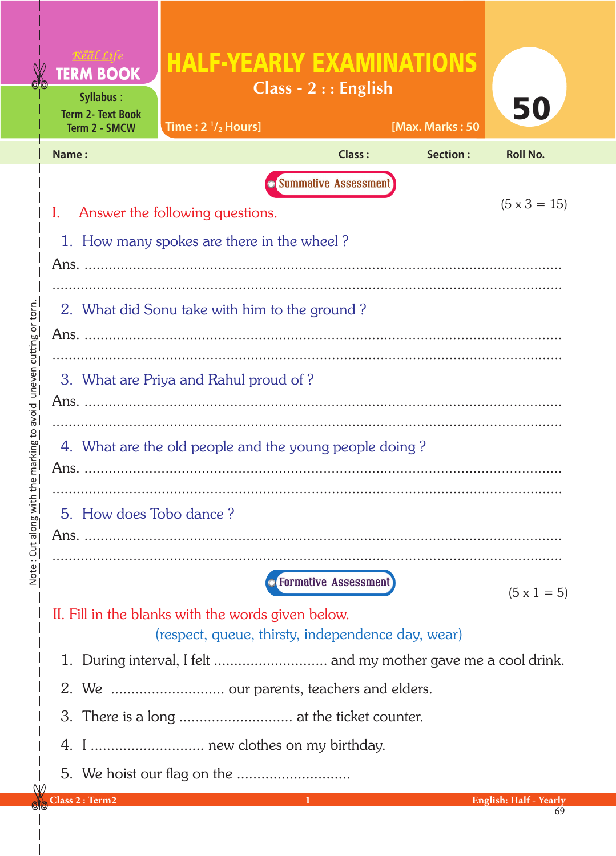| <b>TERM BOOK</b><br><b>Syllabus:</b><br><b>Term 2- Text Book</b><br>Term 2 - SMCW | <b>HALF-YEARLY EXAMINATIONS</b><br>Time: $2 \frac{1}{2}$ Hours]               | Class - $2:$ English                 | [Max. Marks: 50 | 50                  |  |  |  |  |  |
|-----------------------------------------------------------------------------------|-------------------------------------------------------------------------------|--------------------------------------|-----------------|---------------------|--|--|--|--|--|
| Name:                                                                             |                                                                               | <b>Class:</b>                        | Section:        | <b>Roll No.</b>     |  |  |  |  |  |
| I.                                                                                | Answer the following questions.<br>1. How many spokes are there in the wheel? | <b>Summative Assessment</b>          |                 | $(5 \times 3 = 15)$ |  |  |  |  |  |
|                                                                                   |                                                                               |                                      |                 |                     |  |  |  |  |  |
|                                                                                   | 2. What did Sonu take with him to the ground?                                 |                                      |                 |                     |  |  |  |  |  |
|                                                                                   | 3. What are Priya and Rahul proud of?                                         |                                      |                 |                     |  |  |  |  |  |
| 4. What are the old people and the young people doing?<br>Ans.                    |                                                                               |                                      |                 |                     |  |  |  |  |  |
| 5. How does Tobo dance?                                                           |                                                                               |                                      |                 |                     |  |  |  |  |  |
|                                                                                   | II. Fill in the blanks with the words given below.                            | <b><i>O</i></b> Formative Assessment |                 | $(5 \times 1 = 5)$  |  |  |  |  |  |
|                                                                                   | (respect, queue, thirsty, independence day, wear)                             |                                      |                 |                     |  |  |  |  |  |
|                                                                                   |                                                                               |                                      |                 |                     |  |  |  |  |  |
|                                                                                   |                                                                               |                                      |                 |                     |  |  |  |  |  |
|                                                                                   |                                                                               |                                      |                 |                     |  |  |  |  |  |
|                                                                                   | 4. I  new clothes on my birthday.                                             |                                      |                 |                     |  |  |  |  |  |
|                                                                                   |                                                                               |                                      |                 |                     |  |  |  |  |  |

(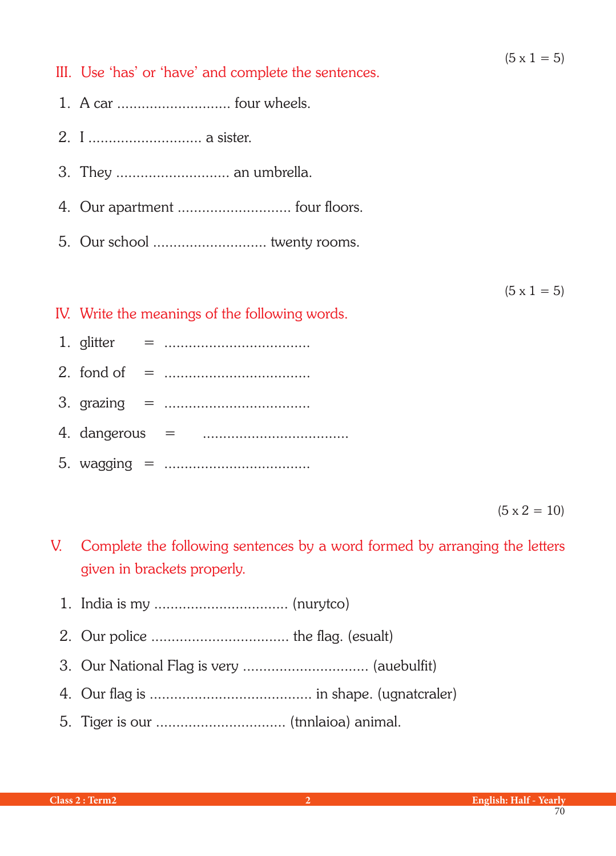III. Use 'has' or 'have' and complete the sentences.

- 1. A car ............................ four wheels.
- 2. I ............................ a sister.
- 3. They ............................ an umbrella.
- 4. Our apartment ............................ four floors.
- 5. Our school ............................ twenty rooms.

 $(5 \times 1 = 5)$ 

- IV. Write the meanings of the following words.
- 1. glitter = ....................................
- 2. fond of = ....................................
- 3. grazing = ....................................
- 4. dangerous = ....................................
- 5. wagging = ....................................

 $(5 \times 2 = 10)$ 

- V. Complete the following sentences by a word formed by arranging the letters given in brackets properly.
	- 1. India is my ................................. (nurytco)
	- 2. Our police .................................. the flag. (esualt)
	- 3. Our National Flag is very ............................... (auebulfit)
	- 4. Our flag is ........................................ in shape. (ugnatcraler)
	- 5. Tiger is our ................................ (tnnlaioa) animal.